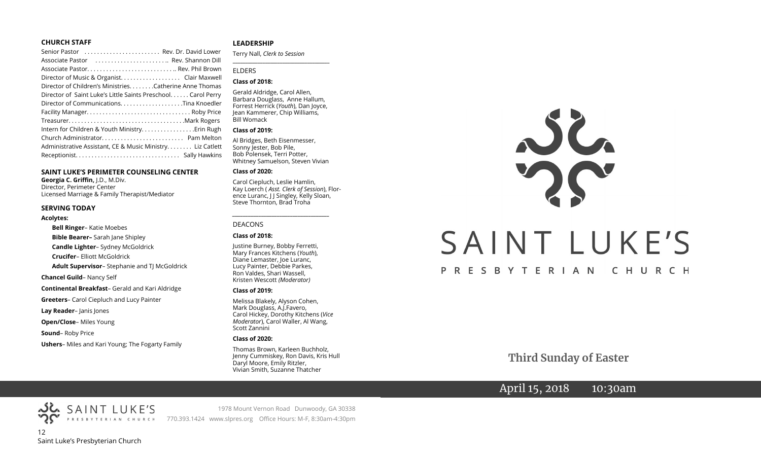#### **CHURCH STAFF**

| Senior Pastor  Rev. Dr. David Lower                          |  |
|--------------------------------------------------------------|--|
| Associate Pastor  Rev. Shannon Dill                          |  |
|                                                              |  |
|                                                              |  |
| Director of Children's Ministries. Catherine Anne Thomas     |  |
| Director of Saint Luke's Little Saints Preschool Carol Perry |  |
| Director of CommunicationsTina Knoedler                      |  |
|                                                              |  |
|                                                              |  |
| Intern for Children & Youth Ministry Erin Rugh               |  |
|                                                              |  |
| Administrative Assistant, CE & Music Ministry Liz Catlett    |  |
|                                                              |  |

#### **SAINT LUKE'S PERIMETER COUNSELING CENTER**

**Georgia C. Griffin,** J.D., M.Div. Director, Perimeter Center Licensed Marriage & Family Therapist/Mediator

#### **SERVING TODAY**

#### **Acolytes:**

**Bell Ringer**– Katie Moebes **Bible Bearer–** Sarah Jane Shipley **Candle Lighter**– Sydney McGoldrick **Crucifer**– Elliott McGoldrick **Adult Supervisor**– Stephanie and TJ McGoldrick **Chancel Guild**– Nancy Self **Continental Breakfast**– Gerald and Kari Aldridge **Greeters**– Carol Ciepluch and Lucy Painter **Lay Reader**– Janis Jones **Open/Close**– Miles Young **Sound**– Roby Price

**Ushers**– Miles and Kari Young; The Fogarty Family

#### **LEADERSHIP**

Terry Nall, *Clerk to Session* 

**\_\_\_\_\_\_\_\_\_\_\_\_\_\_\_\_\_\_\_\_\_\_\_\_\_\_\_\_\_\_\_\_\_\_\_\_\_\_\_**

#### ELDERS

#### **Class of 2018:**

Gerald Aldridge, Carol Allen, Barbara Douglass, Anne Hallum, Forrest Herrick (*Youth*), Dan Joyce, Jean Kammerer, Chip Williams, Bill Womack

#### **Class of 2019:**

Al Bridges, Beth Eisenmesser, Sonny Jester, Bob Pile, Bob Polensek, Terri Potter, Whitney Samuelson, Steven Vivian

#### **Class of 2020:**

Carol Ciepluch, Leslie Hamlin, Kay Loerch ( *Asst. Clerk of Session*), Florence Luranc, J J Singley, Kelly Sloan, Steve Thornton, Brad Troha

*\_\_\_\_\_\_\_\_\_\_\_\_\_\_\_\_\_\_\_\_\_\_\_\_\_\_\_\_\_\_\_\_\_\_\_\_\_*

#### DEACONS

#### **Class of 2018:**

Justine Burney, Bobby Ferretti, Mary Frances Kitchens (*Youth*), Diane Lemaster, Joe Luranc, Lucy Painter, Debbie Parkes, Ron Valdes, Shari Wassell, Kristen Wescott *(Moderator)*

#### **Class of 2019:**

Melissa Blakely, Alyson Cohen, Mark Douglass, A.J.Favero, Carol Hickey, Dorothy Kitchens (*Vice Moderator*), Carol Waller, Al Wang, Scott Zannini

#### **Class of 2020:**

Thomas Brown, Karleen Buchholz, Jenny Cummiskey, Ron Davis, Kris Hull Daryl Moore, Emily Ritzler, Vivian Smith, Suzanne Thatcher



 **Third Sunday of Easter**

# April 15, 2018 10:30am

12 Saint Luke's Presbyterian Church

SAINT LUKE'S

1978 Mount Vernon Road Dunwoody, GA 30338 PRESBYTERIAN CHURCH 770.393.1424 www.slpres.org Office Hours: M-F, 8:30am-4:30pm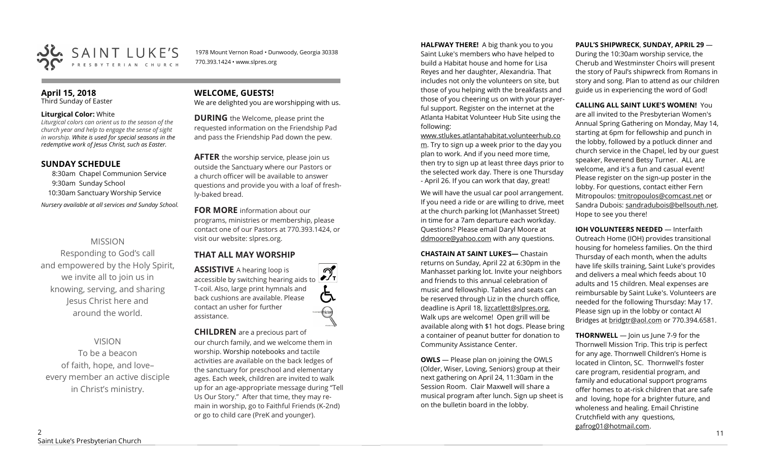

1978 Mount Vernon Road • Dunwoody, Georgia 30338 770.393.1424 • www.slpres.org

#### **April 15, 2018**  Third Sunday of Easter

#### **Liturgical Color:** White

*Liturgical colors can orient us to the season of the church year and help to engage the sense of sight in worship. White is used for special seasons in the redemptive work of Jesus Christ, such as Easter.* 

## **SUNDAY SCHEDULE**

8:30am Chapel Communion Service 9:30am Sunday School 10:30am Sanctuary Worship Service *Nursery available at all services and Sunday School.* 

# MISSION

Responding to God's call and empowered by the Holy Spirit, we invite all to join us in knowing, serving, and sharing Jesus Christ here and around the world.

# VISION

To be a beacon of faith, hope, and love– every member an active disciple in Christ's ministry.

# **WELCOME, GUESTS!**

We are delighted you are worshipping with us.

**DURING** the Welcome, please print the requested information on the Friendship Pad and pass the Friendship Pad down the pew.

**AFTER** the worship service, please join us outside the Sanctuary where our Pastors or a church officer will be available to answer questions and provide you with a loaf of freshly-baked bread.

**FOR MORE** information about our programs, ministries or membership, please contact one of our Pastors at 770.393.1424, or visit our website: slpres.org.

# **THAT ALL MAY WORSHIP**

**ASSISTIVE** A hearing loop is  $\mathcal{D}_{\mathrm{r}}$ accessible by switching hearing aids to T-coil. Also, large print hymnals and (气 back cushions are available. Please contact an usher for further assistance.

# **CHILDREN** are a precious part of

our church family, and we welcome them in worship. Worship notebooks and tactile activities are available on the back ledges of the sanctuary for preschool and elementary ages. Each week, children are invited to walk up for an age-appropriate message during "Tell Us Our Story." After that time, they may remain in worship, go to Faithful Friends (K-2nd) or go to child care (PreK and younger).

**HALFWAY THERE!** A big thank you to you Saint Luke's members who have helped to build a Habitat house and home for Lisa Reyes and her daughter, Alexandria. That includes not only the volunteers on site, but those of you helping with the breakfasts and those of you cheering us on with your prayerful support. Register on the internet at the Atlanta Habitat Volunteer Hub Site using the following:

[www.stlukes.atlantahabitat.volunteerhub.co](http://www.stlukes.atlantahabitat.volunteerhub.com/) [m.](http://www.stlukes.atlantahabitat.volunteerhub.com/) Try to sign up a week prior to the day you plan to work. And if you need more time, then try to sign up at least three days prior to the selected work day. There is one Thursday - April 26. If you can work that day, great!

We will have the usual car pool arrangement. If you need a ride or are willing to drive, meet at the church parking lot (Manhasset Street) in time for a 7am departure each workday. Questions? Please email Daryl Moore at [ddmoore@yahoo.com](mailto:ddmoore@yahoo.com) with any questions.

**CHASTAIN AT SAINT LUKE'S—** Chastain returns on Sunday, April 22 at 6:30pm in the Manhasset parking lot. Invite your neighbors and friends to this annual celebration of music and fellowship. Tables and seats can be reserved through Liz in the church office, deadline is April 18, lizcatlett@slpres.org. Walk ups are welcome! Open grill will be available along with \$1 hot dogs. Please bring a container of peanut butter for donation to Community Assistance Center.

**OWLS** — Please plan on joining the OWLS (Older, Wiser, Loving, Seniors) group at their next gathering on April 24, 11:30am in the Session Room. Clair Maxwell will share a musical program after lunch. Sign up sheet is on the bulletin board in the lobby.

#### **PAUL'S SHIPWRECK**, **SUNDAY, APRIL 29** —

During the 10:30am worship service, the Cherub and Westminster Choirs will present the story of Paul's shipwreck from Romans in story and song. Plan to attend as our children guide us in experiencing the word of God!

#### **CALLING ALL SAINT LUKE'S WOMEN!** You are all invited to the Presbyterian Women's Annual Spring Gathering on Monday, May 14, starting at 6pm for fellowship and punch in the lobby, followed by a potluck dinner and church service in the Chapel, led by our guest speaker, Reverend Betsy Turner. ALL are welcome, and it's a fun and casual event! Please register on the sign-up poster in the lobby. For questions, contact either Fern Mitropoulos: [tmitropoulos@comcast.net](mailto:tmitropoulos@comcast.net) or Sandra Dubois: sandradubois@bellsouth.net. Hope to see you there!

**IOH VOLUNTEERS NEEDED** — Interfaith Outreach Home (IOH) provides transitional housing for homeless families. On the third Thursday of each month, when the adults have life skills training, Saint Luke's provides and delivers a meal which feeds about 10 adults and 15 children. Meal expenses are reimbursable by Saint Luke's. Volunteers are needed for the following Thursday: May 17. Please sign up in the lobby or contact Al Bridges at [bridgtr@aol.com](mailto:bridgtr@aol.com) or 770.394.6581.

**THORNWELL** — Join us June 7-9 for the Thornwell Mission Trip. This trip is perfect for any age. Thornwell Children's Home is located in Clinton, SC. Thornwell's foster care program, residential program, and family and educational support programs offer homes to at-risk children that are safe and loving, hope for a brighter future, and wholeness and healing. Email Christine Crutchfield with any questions, gafrog01@hotmail.com.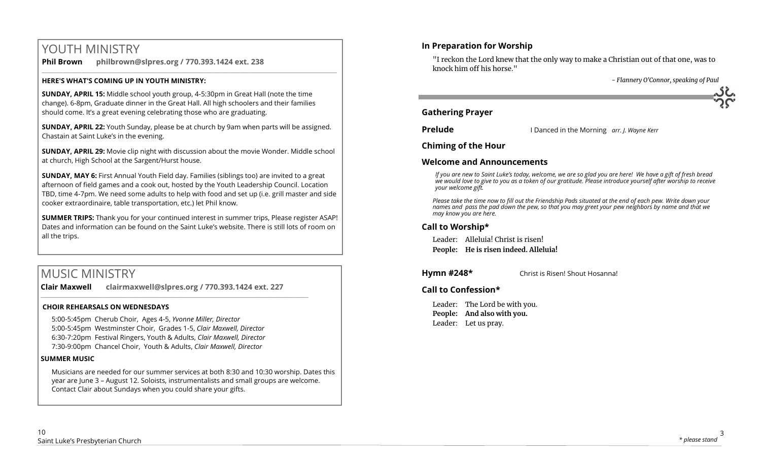# YOUTH MINISTRY

**Phil Brown philbrown@slpres.org / 770.393.1424 ext. 238**   $\_$  ,  $\_$  ,  $\_$  ,  $\_$  ,  $\_$  ,  $\_$  ,  $\_$  ,  $\_$  ,  $\_$  ,  $\_$  ,  $\_$  ,  $\_$  ,  $\_$  ,  $\_$  ,  $\_$  ,  $\_$  ,  $\_$  ,  $\_$  ,  $\_$  ,  $\_$  ,  $\_$  ,  $\_$  ,  $\_$  ,  $\_$  ,  $\_$  ,  $\_$  ,  $\_$  ,  $\_$  ,  $\_$  ,  $\_$  ,  $\_$  ,  $\_$  ,  $\_$  ,  $\_$  ,  $\_$  ,  $\_$  ,  $\_$  ,

## **HERE'S WHAT'S COMING UP IN YOUTH MINISTRY:**

**SUNDAY, APRIL 15:** Middle school youth group, 4-5:30pm in Great Hall (note the time change). 6-8pm, Graduate dinner in the Great Hall. All high schoolers and their families should come. It's a great evening celebrating those who are graduating.

**SUNDAY, APRIL 22:** Youth Sunday, please be at church by 9am when parts will be assigned. Chastain at Saint Luke's in the evening.

**SUNDAY, APRIL 29:** Movie clip night with discussion about the movie Wonder. Middle school at church, High School at the Sargent/Hurst house.

**SUNDAY, MAY 6:** First Annual Youth Field day. Families (siblings too) are invited to a great afternoon of field games and a cook out, hosted by the Youth Leadership Council. Location TBD, time 4-7pm. We need some adults to help with food and set up (i.e. grill master and side cooker extraordinaire, table transportation, etc.) let Phil know.

**SUMMER TRIPS:** Thank you for your continued interest in summer trips, Please register ASAP! Dates and information can be found on the Saint Luke's website. There is still lots of room on all the trips.

# MUSIC MINISTRY

**Clair Maxwell clairmaxwell@slpres.org / 770.393.1424 ext. 227** 

\_\_\_\_\_\_\_\_\_\_\_\_\_\_\_\_\_\_\_\_\_\_\_\_\_\_\_\_\_\_\_\_\_\_\_\_\_\_\_\_\_\_\_\_\_\_\_\_\_\_\_\_\_\_\_\_\_\_\_\_\_\_\_\_\_\_\_\_\_\_\_\_\_\_\_\_\_\_\_\_\_\_\_\_\_\_\_\_

# **CHOIR REHEARSALS ON WEDNESDAYS**

5:00-5:45pm Cherub Choir, Ages 4-5, *Yvonne Miller, Director*  5:00-5:45pm Westminster Choir, Grades 1-5, *Clair Maxwell, Director*  6:30-7:20pm Festival Ringers, Youth & Adults, *Clair Maxwell, Director*  7:30-9:00pm Chancel Choir, Youth & Adults, *Clair Maxwell, Director* 

## **SUMMER MUSIC**

Musicians are needed for our summer services at both 8:30 and 10:30 worship. Dates this year are June 3 – August 12. Soloists, instrumentalists and small groups are welcome. Contact Clair about Sundays when you could share your gifts.

# **In Preparation for Worship**

"I reckon the Lord knew that the only way to make a Christian out of that one, was to knock him off his horse."

 *- Flannery O'Connor, speaking of Paul*

# **Gathering Prayer**

**Prelude I** Danced in the Morning *arr. J. Wayne Kerr* 

**Chiming of the Hour**

# **Welcome and Announcements**

*If you are new to Saint Luke's today, welcome, we are so glad you are here! We have a gift of fresh bread we would love to give to you as a token of our gratitude. Please introduce yourself after worship to receive your welcome gift.*

*Please take the time now to fill out the Friendship Pads situated at the end of each pew. Write down your names and pass the pad down the pew, so that you may greet your pew neighbors by name and that we may know you are here.*

# **Call to Worship\***

Leader: Alleluia! Christ is risen! **People: He is risen indeed. Alleluia!**

**Hymn #248\*** Christ is Risen! Shout Hosanna!

# **Call to Confession\***

Leader: The Lord be with you. **People: And also with you.** Leader: Let us pray.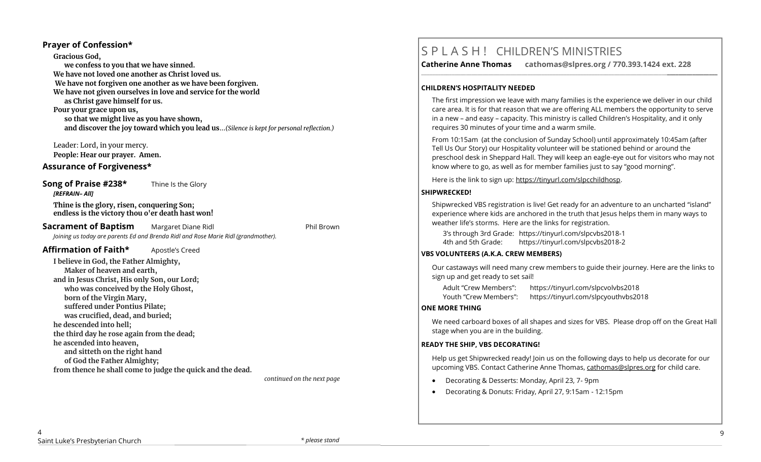### **Prayer of Confession\***

**Gracious God, we confess to you that we have sinned. We have not loved one another as Christ loved us. We have not forgiven one another as we have been forgiven. We have not given ourselves in love and service for the world as Christ gave himself for us. Pour your grace upon us, so that we might live as you have shown, and discover the joy toward which you lead us**…*(Silence is kept for personal reflection.)*

Leader: Lord, in your mercy. **People: Hear our prayer. Amen.**

### **Assurance of Forgiveness\***

**Song of Praise #238\*** Thine Is the Glory *[REFRAIN– All]*

**Thine is the glory, risen, conquering Son; endless is the victory thou o'er death hast won!**

**Sacrament of Baptism** Margaret Diane Ridl **National Phil Brown** Phil Brown *Joining us today are parents Ed and Brenda Ridl and Rose Marie Ridl (grandmother).*

### **Affirmation of Faith\*** Apostle's Creed

**I believe in God, the Father Almighty, Maker of heaven and earth, and in Jesus Christ, His only Son, our Lord; who was conceived by the Holy Ghost, born of the Virgin Mary, suffered under Pontius Pilate; was crucified, dead, and buried; he descended into hell; the third day he rose again from the dead; he ascended into heaven, and sitteth on the right hand of God the Father Almighty; from thence he shall come to judge the quick and the dead.**

 *continued on the next page*

# S P L A S H ! CHILDREN'S MINISTRIES

**Catherine Anne Thomas cathomas@slpres.org / 770.393.1424 ext. 228** 

#### **CHILDREN'S HOSPITALITY NEEDED**

The first impression we leave with many families is the experience we deliver in our child care area. It is for that reason that we are offering ALL members the opportunity to serve in a new – and easy – capacity. This ministry is called Children's Hospitality, and it only requires 30 minutes of your time and a warm smile.

**\_\_\_\_\_\_\_\_\_\_\_\_\_\_\_\_\_\_\_\_\_\_\_\_\_\_\_\_\_\_\_\_\_\_\_\_\_\_\_\_\_\_\_\_\_\_\_\_\_\_\_\_\_\_\_\_\_\_\_\_\_\_\_\_\_\_\_\_\_\_\_\_\_\_\_\_\_\_\_\_\_\_\_\_\_\_\_\_\_\_\_\_\_\_\_\_\_\_\_\_\_\_\_\_\_\_** 

From 10:15am (at the conclusion of Sunday School) until approximately 10:45am (after Tell Us Our Story) our Hospitality volunteer will be stationed behind or around the preschool desk in Sheppard Hall. They will keep an eagle-eye out for visitors who may not know where to go, as well as for member families just to say "good morning".

Here is the link to sign up: https://tinyurl.com/slpcchildhosp.

#### **SHIPWRECKED!**

Shipwrecked VBS registration is live! Get ready for an adventure to an uncharted "island" experience where kids are anchored in the truth that Jesus helps them in many ways to weather life's storms. Here are the links for registration.

3's through 3rd Grade: https://tinyurl.com/slpcvbs2018-1 4th and 5th Grade: https://tinyurl.com/slpcvbs2018-2

#### **VBS VOLUNTEERS (A.K.A. CREW MEMBERS)**

Our castaways will need many crew members to guide their journey. Here are the links to sign up and get ready to set sail!

Adult "Crew Members": https://tinyurl.com/slpcvolvbs2018 Youth "Crew Members": https://tinyurl.com/slpcyouthvbs2018

#### **ONE MORE THING**

We need carboard boxes of all shapes and sizes for VBS. Please drop off on the Great Hall stage when you are in the building.

#### **READY THE SHIP, VBS DECORATING!**

Help us get Shipwrecked ready! Join us on the following days to help us decorate for our upcoming VBS. Contact Catherine Anne Thomas, [cathomas@slpres.org](mailto:cathomas@slpres.org) for child care.

- Decorating & Desserts: Monday, April 23, 7- 9pm
- Decorating & Donuts: Friday, April 27, 9:15am 12:15pm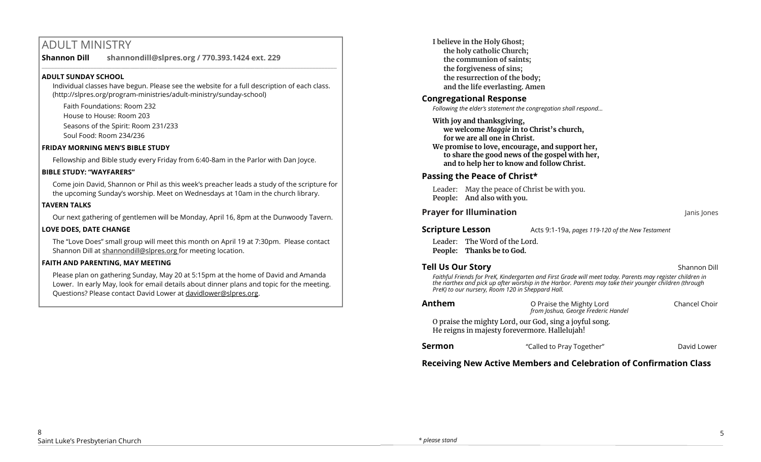# ADULT MINISTRY

**Shannon Dill shannondill@slpres.org / 770.393.1424 ext. 229**   $\_$  ,  $\_$  ,  $\_$  ,  $\_$  ,  $\_$  ,  $\_$  ,  $\_$  ,  $\_$  ,  $\_$  ,  $\_$  ,  $\_$  ,  $\_$  ,  $\_$  ,  $\_$  ,  $\_$  ,  $\_$  ,  $\_$  ,  $\_$  ,  $\_$  ,  $\_$ 

## **ADULT SUNDAY SCHOOL**

Individual classes have begun. Please see the website for a full description of each class. (http://slpres.org/program-ministries/adult-ministry/sunday-school)

Faith Foundations: Room 232 House to House: Room 203 Seasons of the Spirit: Room 231/233 Soul Food: Room 234/236

# **FRIDAY MORNING MEN'S BIBLE STUDY**

Fellowship and Bible study every Friday from 6:40-8am in the Parlor with Dan Joyce.

#### **BIBLE STUDY: "WAYFARERS"**

Come join David, Shannon or Phil as this week's preacher leads a study of the scripture for the upcoming Sunday's worship. Meet on Wednesdays at 10am in the church library.

### **TAVERN TALKS**

Our next gathering of gentlemen will be Monday, April 16, 8pm at the Dunwoody Tavern.

### **LOVE DOES, DATE CHANGE**

The "Love Does" small group will meet this month on April 19 at 7:30pm. Please contact Shannon Dill at shannondill@slpres.org for meeting location.

#### **FAITH AND PARENTING, MAY MEETING**

Please plan on gathering Sunday, May 20 at 5:15pm at the home of David and Amanda Lower. In early May, look for email details about dinner plans and topic for the meeting. Questions? Please contact David Lower at davidlower@slpres.org.

**I believe in the Holy Ghost; the holy catholic Church; the communion of saints; the forgiveness of sins; the resurrection of the body; and the life everlasting. Amen**

# **Congregational Response**

*Following the elder's statement the congregation shall respond...*

- **With joy and thanksgiving, we welcome** *Maggie* **in to Christ's church, for we are all one in Christ.**
- **We promise to love, encourage, and support her, to share the good news of the gospel with her, and to help her to know and follow Christ.**

# **Passing the Peace of Christ\***

Leader: May the peace of Christ be with you. **People: And also with you.** 

# **Prayer for Illumination Janis Jones Janis Jones Janis Jones**

**Scripture Lesson** Acts 9:1-19a, *pages 119-120 of the New Testament* 

Leader: The Word of the Lord. **People: Thanks be to God.**

# **Tell Us Our Story Shannon Dill Contract Contract Contract Contract Contract Contract Contract Contract Contract Contract Contract Contract Contract Contract Contract Contract Contract Contract Contract Contract Contra**

*Faithful Friends for PreK, Kindergarten and First Grade will meet today. Parents may register children in the narthex and pick up after worship in the Harbor. Parents may take their younger children (through PreK) to our nursery, Room 120 in Sheppard Hall.* 

| Anthem | O Praise the Mighty Lord<br>from Joshua, George Frederic Handel                                         | Chancel Choir |
|--------|---------------------------------------------------------------------------------------------------------|---------------|
|        | O praise the mighty Lord, our God, sing a joyful song.<br>He reigns in majesty forevermore. Hallelujah! |               |
| Sermon | "Called to Pray Together"                                                                               | David Lower   |

# **Receiving New Active Members and Celebration of Confirmation Class**